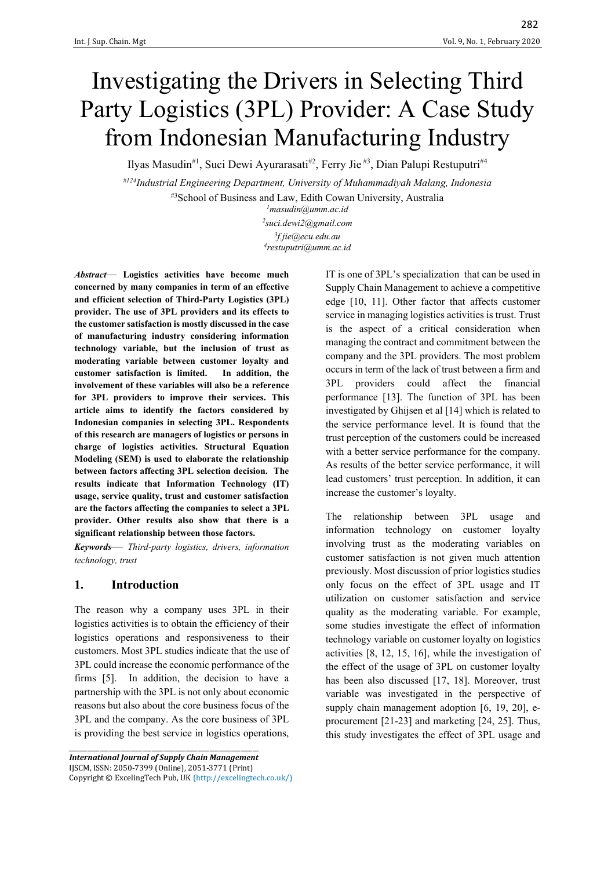# Investigating the Drivers in Selecting Third Party Logistics (3PL) Provider: A Case Study from Indonesian Manufacturing Industry

Ilyas Masudin<sup>#1</sup>, Suci Dewi Ayurarasati<sup>#2</sup>, Ferry Jie <sup>#3</sup>, Dian Palupi Restuputri<sup>#4</sup>

*#124Industrial Engineering Department, University of Muhammadiyah Malang, Indonesia* #3School of Business and Law, Edith Cowan University, Australia

*<sup>1</sup>masudin@umm.ac.id*

*2 suci.dewi2@gmail.com 3 f.jie@ecu.edu.au 4 restuputri@umm.ac.id*

*Abstract*— **Logistics activities have become much concerned by many companies in term of an effective and efficient selection of Third-Party Logistics (3PL) provider. The use of 3PL providers and its effects to the customer satisfaction is mostly discussed in the case of manufacturing industry considering information technology variable, but the inclusion of trust as moderating variable between customer loyalty and customer satisfaction is limited. In addition, the involvement of these variables will also be a reference for 3PL providers to improve their services. This article aims to identify the factors considered by Indonesian companies in selecting 3PL. Respondents of this research are managers of logistics or persons in charge of logistics activities. Structural Equation Modeling (SEM) is used to elaborate the relationship between factors affecting 3PL selection decision. The results indicate that Information Technology (IT) usage, service quality, trust and customer satisfaction are the factors affecting the companies to select a 3PL provider. Other results also show that there is a significant relationship between those factors.**

*Keywords*— *Third-party logistics, drivers, information technology, trust*

#### **1. Introduction**

The reason why a company uses 3PL in their logistics activities is to obtain the efficiency of their logistics operations and responsiveness to their customers. Most 3PL studies indicate that the use of 3PL could increase the economic performance of the firms [5]. In addition, the decision to have a partnership with the 3PL is not only about economic reasons but also about the core business focus of the 3PL and the company. As the core business of 3PL is providing the best service in logistics operations,

*International Journal of Supply Chain Management* IJSCM, ISSN: 2050-7399 (Online), 2051-3771 (Print) Copyright © ExcelingTech Pub, UK (http://excelingtech.co.uk/)

\_\_\_\_\_\_\_\_\_\_\_\_\_\_\_\_\_\_\_\_\_\_\_\_\_\_\_\_\_\_\_\_\_\_\_\_\_\_\_\_\_\_\_\_\_\_\_\_\_\_\_\_\_\_\_\_\_\_\_\_\_\_

IT is one of 3PL's specialization that can be used in Supply Chain Management to achieve a competitive edge [10, 11]. Other factor that affects customer service in managing logistics activities is trust. Trust is the aspect of a critical consideration when managing the contract and commitment between the company and the 3PL providers. The most problem occurs in term of the lack of trust between a firm and 3PL providers could affect the financial performance [13]. The function of 3PL has been investigated by Ghijsen et al [14] which is related to the service performance level. It is found that the trust perception of the customers could be increased with a better service performance for the company. As results of the better service performance, it will lead customers' trust perception. In addition, it can increase the customer's loyalty.

The relationship between 3PL usage and information technology on customer loyalty involving trust as the moderating variables on customer satisfaction is not given much attention previously. Most discussion of prior logistics studies only focus on the effect of 3PL usage and IT utilization on customer satisfaction and service quality as the moderating variable. For example, some studies investigate the effect of information technology variable on customer loyalty on logistics activities [8, 12, 15, 16], while the investigation of the effect of the usage of 3PL on customer loyalty has been also discussed [17, 18]. Moreover, trust variable was investigated in the perspective of supply chain management adoption [6, 19, 20], eprocurement [21-23] and marketing [24, 25]. Thus, this study investigates the effect of 3PL usage and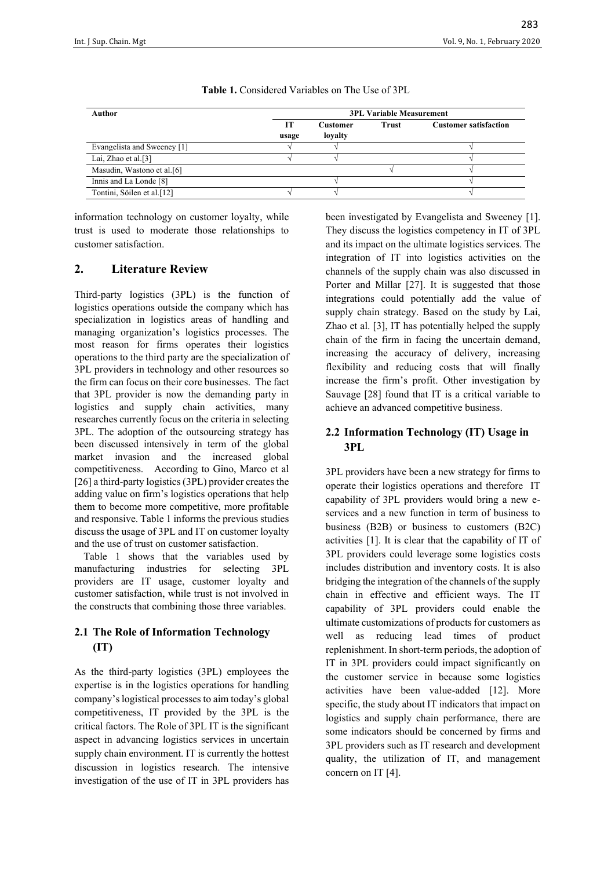| Author                      | <b>3PL Variable Measurement</b> |                            |              |                              |  |  |
|-----------------------------|---------------------------------|----------------------------|--------------|------------------------------|--|--|
|                             | Н<br>usage                      | <b>Customer</b><br>loyalty | <b>Trust</b> | <b>Customer satisfaction</b> |  |  |
| Evangelista and Sweeney [1] |                                 |                            |              |                              |  |  |
| Lai, Zhao et al. $[3]$      |                                 |                            |              |                              |  |  |
| Masudin, Wastono et al.[6]  |                                 |                            |              |                              |  |  |
| Innis and La Londe [8]      |                                 |                            |              |                              |  |  |
| Tontini, Söilen et al.[12]  |                                 |                            |              |                              |  |  |

**Table 1.** Considered Variables on The Use of 3PL

information technology on customer loyalty, while trust is used to moderate those relationships to customer satisfaction.

#### **2. Literature Review**

Third-party logistics (3PL) is the function of logistics operations outside the company which has specialization in logistics areas of handling and managing organization's logistics processes. The most reason for firms operates their logistics operations to the third party are the specialization of 3PL providers in technology and other resources so the firm can focus on their core businesses. The fact that 3PL provider is now the demanding party in logistics and supply chain activities, many researches currently focus on the criteria in selecting 3PL. The adoption of the outsourcing strategy has been discussed intensively in term of the global market invasion and the increased global competitiveness. According to Gino, Marco et al [26] a third-party logistics (3PL) provider creates the adding value on firm's logistics operations that help them to become more competitive, more profitable and responsive. Table 1 informs the previous studies discuss the usage of 3PL and IT on customer loyalty and the use of trust on customer satisfaction.

Table 1 shows that the variables used by manufacturing industries for selecting 3PL providers are IT usage, customer loyalty and customer satisfaction, while trust is not involved in the constructs that combining those three variables.

# **2.1 The Role of Information Technology (IT)**

As the third-party logistics (3PL) employees the expertise is in the logistics operations for handling company's logistical processes to aim today's global competitiveness, IT provided by the 3PL is the critical factors. The Role of 3PL IT is the significant aspect in advancing logistics services in uncertain supply chain environment. IT is currently the hottest discussion in logistics research. The intensive investigation of the use of IT in 3PL providers has

been investigated by Evangelista and Sweeney [1]. They discuss the logistics competency in IT of 3PL and its impact on the ultimate logistics services. The integration of IT into logistics activities on the channels of the supply chain was also discussed in Porter and Millar [27]. It is suggested that those integrations could potentially add the value of supply chain strategy. Based on the study by Lai, Zhao et al. [3], IT has potentially helped the supply chain of the firm in facing the uncertain demand, increasing the accuracy of delivery, increasing flexibility and reducing costs that will finally increase the firm's profit. Other investigation by Sauvage [28] found that IT is a critical variable to achieve an advanced competitive business.

## **2.2 Information Technology (IT) Usage in 3PL**

3PL providers have been a new strategy for firms to operate their logistics operations and therefore IT capability of 3PL providers would bring a new eservices and a new function in term of business to business (B2B) or business to customers (B2C) activities [1]. It is clear that the capability of IT of 3PL providers could leverage some logistics costs includes distribution and inventory costs. It is also bridging the integration of the channels of the supply chain in effective and efficient ways. The IT capability of 3PL providers could enable the ultimate customizations of products for customers as well as reducing lead times of product replenishment. In short-term periods, the adoption of IT in 3PL providers could impact significantly on the customer service in because some logistics activities have been value-added [12]. More specific, the study about IT indicators that impact on logistics and supply chain performance, there are some indicators should be concerned by firms and 3PL providers such as IT research and development quality, the utilization of IT, and management concern on IT [4].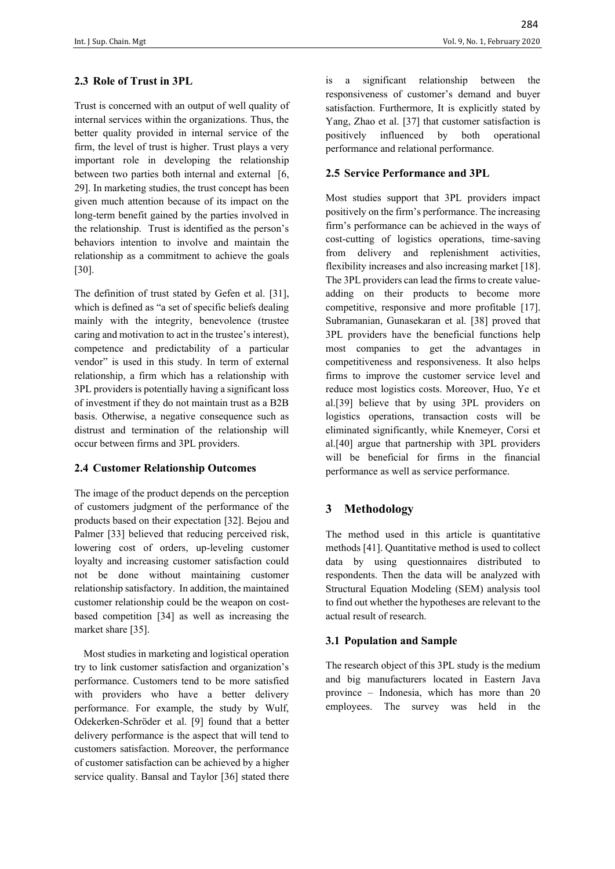### **2.3 Role of Trust in 3PL**

Trust is concerned with an output of well quality of internal services within the organizations. Thus, the better quality provided in internal service of the firm, the level of trust is higher. Trust plays a very important role in developing the relationship between two parties both internal and external [6, 29]. In marketing studies, the trust concept has been given much attention because of its impact on the long-term benefit gained by the parties involved in the relationship. Trust is identified as the person's behaviors intention to involve and maintain the relationship as a commitment to achieve the goals [30].

The definition of trust stated by Gefen et al. [31], which is defined as "a set of specific beliefs dealing mainly with the integrity, benevolence (trustee caring and motivation to act in the trustee's interest), competence and predictability of a particular vendor" is used in this study. In term of external relationship, a firm which has a relationship with 3PL providers is potentially having a significant loss of investment if they do not maintain trust as a B2B basis. Otherwise, a negative consequence such as distrust and termination of the relationship will occur between firms and 3PL providers.

#### **2.4 Customer Relationship Outcomes**

The image of the product depends on the perception of customers judgment of the performance of the products based on their expectation [32]. Bejou and Palmer [33] believed that reducing perceived risk, lowering cost of orders, up-leveling customer loyalty and increasing customer satisfaction could not be done without maintaining customer relationship satisfactory. In addition, the maintained customer relationship could be the weapon on costbased competition [34] as well as increasing the market share [35].

Most studies in marketing and logistical operation try to link customer satisfaction and organization's performance. Customers tend to be more satisfied with providers who have a better delivery performance. For example, the study by Wulf, Odekerken-Schröder et al. [9] found that a better delivery performance is the aspect that will tend to customers satisfaction. Moreover, the performance of customer satisfaction can be achieved by a higher service quality. Bansal and Taylor [36] stated there is a significant relationship between the responsiveness of customer's demand and buyer satisfaction. Furthermore, It is explicitly stated by Yang, Zhao et al. [37] that customer satisfaction is positively influenced by both operational performance and relational performance.

#### **2.5 Service Performance and 3PL**

Most studies support that 3PL providers impact positively on the firm's performance. The increasing firm's performance can be achieved in the ways of cost-cutting of logistics operations, time-saving from delivery and replenishment activities, flexibility increases and also increasing market [18]. The 3PL providers can lead the firms to create valueadding on their products to become more competitive, responsive and more profitable [17]. Subramanian, Gunasekaran et al. [38] proved that 3PL providers have the beneficial functions help most companies to get the advantages in competitiveness and responsiveness. It also helps firms to improve the customer service level and reduce most logistics costs. Moreover, Huo, Ye et al.[39] believe that by using 3PL providers on logistics operations, transaction costs will be eliminated significantly, while Knemeyer, Corsi et al.[40] argue that partnership with 3PL providers will be beneficial for firms in the financial performance as well as service performance.

# **3 Methodology**

The method used in this article is quantitative methods [41]. Quantitative method is used to collect data by using questionnaires distributed to respondents. Then the data will be analyzed with Structural Equation Modeling (SEM) analysis tool to find out whether the hypotheses are relevant to the actual result of research.

#### **3.1 Population and Sample**

The research object of this 3PL study is the medium and big manufacturers located in Eastern Java province – Indonesia, which has more than 20 employees. The survey was held in the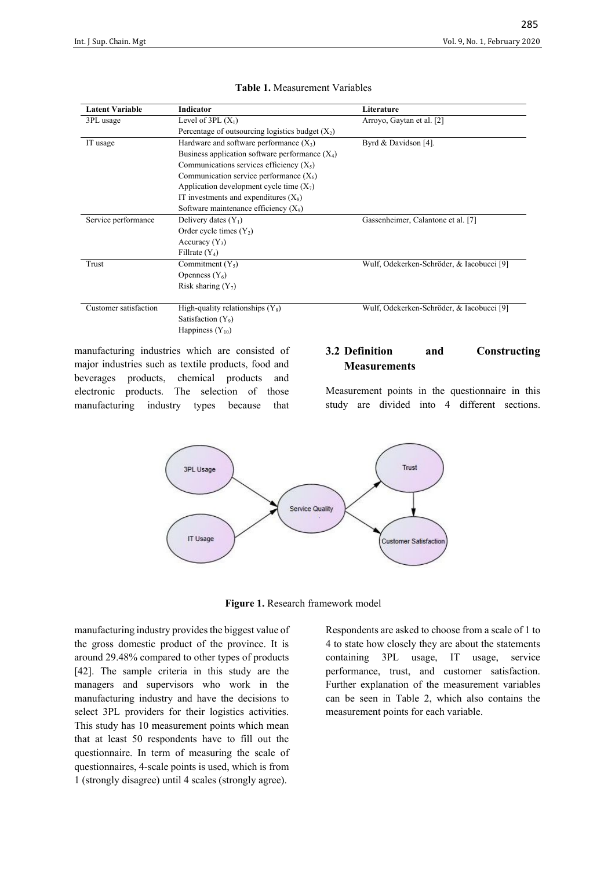| <b>Latent Variable</b> | Indicator                                          | Literature                                |
|------------------------|----------------------------------------------------|-------------------------------------------|
| 3PL usage              | Level of $3PL(X_1)$                                | Arroyo, Gaytan et al. [2]                 |
|                        | Percentage of outsourcing logistics budget $(X_2)$ |                                           |
| IT usage               | Hardware and software performance $(X_3)$          | Byrd & Davidson [4].                      |
|                        | Business application software performance $(X_4)$  |                                           |
|                        | Communications services efficiency $(X_5)$         |                                           |
|                        | Communication service performance $(X_6)$          |                                           |
|                        | Application development cycle time $(X_7)$         |                                           |
|                        | IT investments and expenditures $(X_8)$            |                                           |
|                        | Software maintenance efficiency $(X_9)$            |                                           |
| Service performance    | Delivery dates $(Y_1)$                             | Gassenheimer, Calantone et al. [7]        |
|                        | Order cycle times $(Y_2)$                          |                                           |
|                        | Accuracy $(Y_3)$                                   |                                           |
|                        | Fillrate $(Y_4)$                                   |                                           |
| Trust                  | Commitment $(Y_5)$                                 | Wulf, Odekerken-Schröder, & Iacobucci [9] |
|                        | Openness $(Y_6)$                                   |                                           |
|                        | Risk sharing $(Y_7)$                               |                                           |
| Customer satisfaction  | High-quality relationships $(Y_8)$                 | Wulf, Odekerken-Schröder, & Iacobucci [9] |
|                        | Satisfaction $(Y_9)$                               |                                           |
|                        | Happiness $(Y_{10})$                               |                                           |

#### **Table 1.** Measurement Variables

manufacturing industries which are consisted of major industries such as textile products, food and beverages products, chemical products and electronic products. The selection of those manufacturing industry types because that

#### **3.2 Definition and Constructing Measurements**

Measurement points in the questionnaire in this study are divided into 4 different sections.



**Figure 1.** Research framework model

manufacturing industry provides the biggest value of the gross domestic product of the province. It is around 29.48% compared to other types of products [42]. The sample criteria in this study are the managers and supervisors who work in the manufacturing industry and have the decisions to select 3PL providers for their logistics activities. This study has 10 measurement points which mean that at least 50 respondents have to fill out the questionnaire. In term of measuring the scale of questionnaires, 4-scale points is used, which is from 1 (strongly disagree) until 4 scales (strongly agree).

Respondents are asked to choose from a scale of 1 to 4 to state how closely they are about the statements containing 3PL usage, IT usage, service performance, trust, and customer satisfaction. Further explanation of the measurement variables can be seen in Table 2, which also contains the measurement points for each variable.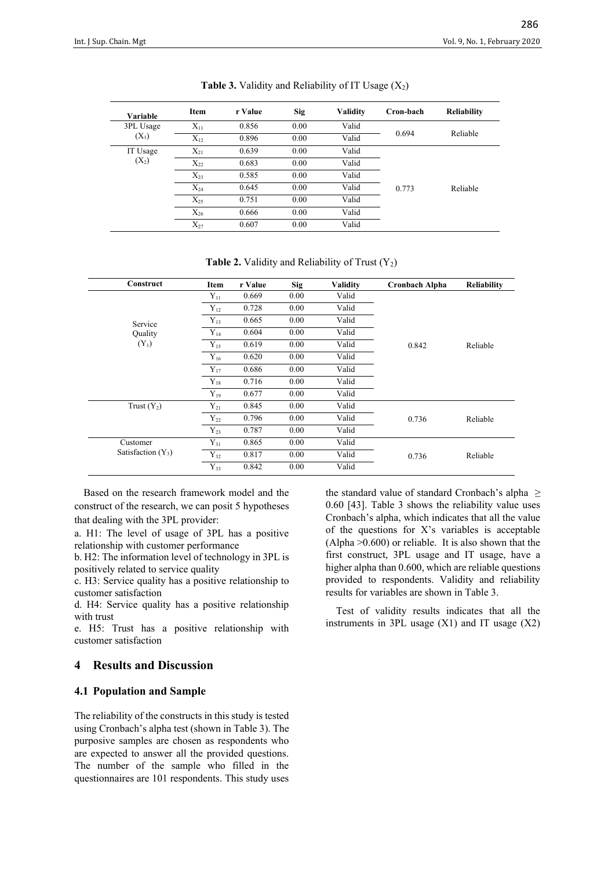| Variable  | Item     | r Value | Sig  | <b>Validity</b> | Cron-bach | <b>Reliability</b> |
|-----------|----------|---------|------|-----------------|-----------|--------------------|
| 3PL Usage | $X_{11}$ | 0.856   | 0.00 | Valid           |           |                    |
| $(X_1)$   | $X_{12}$ | 0.896   | 0.00 | Valid           | 0.694     | Reliable           |
| IT Usage  | $X_{21}$ | 0.639   | 0.00 | Valid           |           |                    |
| $(X_2)$   | $X_{22}$ | 0.683   | 0.00 | Valid           | 0.773     |                    |
|           | $X_{23}$ | 0.585   | 0.00 | Valid           |           |                    |
|           | $X_{24}$ | 0.645   | 0.00 | Valid           |           | Reliable           |
|           | $X_{25}$ | 0.751   | 0.00 | Valid           |           |                    |
|           | $X_{26}$ | 0.666   | 0.00 | Valid           |           |                    |
|           | $X_{27}$ | 0.607   | 0.00 | Valid           |           |                    |

|  |  | <b>Table 3.</b> Validity and Reliability of IT Usage $(X_2)$ |  |  |
|--|--|--------------------------------------------------------------|--|--|
|--|--|--------------------------------------------------------------|--|--|

**Table 2.** Validity and Reliability of Trust  $(Y_2)$ 

| Construct            | Item     | r Value | <b>Sig</b> | <b>Validity</b> | <b>Cronbach Alpha</b> | <b>Reliability</b> |
|----------------------|----------|---------|------------|-----------------|-----------------------|--------------------|
|                      | $Y_{11}$ | 0.669   | 0.00       | Valid           |                       |                    |
|                      | $Y_{12}$ | 0.728   | 0.00       | Valid           |                       |                    |
| Service              | $Y_{13}$ | 0.665   | 0.00       | Valid           |                       |                    |
| <b>Quality</b>       | $Y_{14}$ | 0.604   | 0.00       | Valid           |                       |                    |
| $(Y_1)$              | $Y_{15}$ | 0.619   | 0.00       | Valid           | 0.842                 | Reliable           |
|                      | $Y_{16}$ | 0.620   | 0.00       | Valid           |                       |                    |
|                      | $Y_{17}$ | 0.686   | 0.00       | Valid           |                       |                    |
|                      | $Y_{18}$ | 0.716   | 0.00       | Valid           |                       |                    |
|                      | $Y_{19}$ | 0.677   | 0.00       | Valid           |                       |                    |
| Trust $(Y_2)$        | $Y_{21}$ | 0.845   | 0.00       | Valid           |                       |                    |
|                      | $Y_{22}$ | 0.796   | 0.00       | Valid           | 0.736                 | Reliable           |
|                      | $Y_{23}$ | 0.787   | 0.00       | Valid           |                       |                    |
| Customer             | $Y_{31}$ | 0.865   | 0.00       | Valid           |                       |                    |
| Satisfaction $(Y_3)$ | $Y_{32}$ | 0.817   | 0.00       | Valid           | 0.736                 | Reliable           |
|                      | $Y_{33}$ | 0.842   | 0.00       | Valid           |                       |                    |

Based on the research framework model and the construct of the research, we can posit 5 hypotheses that dealing with the 3PL provider:

a. H1: The level of usage of 3PL has a positive relationship with customer performance

b. H2: The information level of technology in 3PL is positively related to service quality

c. H3: Service quality has a positive relationship to customer satisfaction

d. H4: Service quality has a positive relationship with trust

e. H5: Trust has a positive relationship with customer satisfaction

#### **4 Results and Discussion**

#### **4.1 Population and Sample**

The reliability of the constructs in this study is tested using Cronbach's alpha test (shown in Table 3). The purposive samples are chosen as respondents who are expected to answer all the provided questions. The number of the sample who filled in the questionnaires are 101 respondents. This study uses

the standard value of standard Cronbach's alpha ≥ 0.60 [43]. Table 3 shows the reliability value uses Cronbach's alpha, which indicates that all the value of the questions for X's variables is acceptable (Alpha  $>0.600$ ) or reliable. It is also shown that the first construct, 3PL usage and IT usage, have a higher alpha than 0.600, which are reliable questions provided to respondents. Validity and reliability results for variables are shown in Table 3.

Test of validity results indicates that all the instruments in 3PL usage (X1) and IT usage (X2)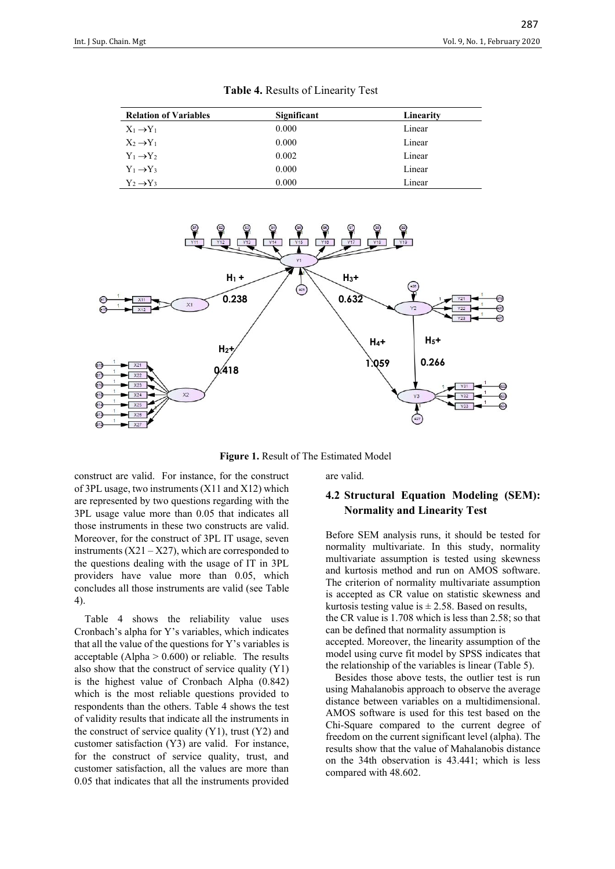| <b>Relation of Variables</b> | Significant | Linearity |
|------------------------------|-------------|-----------|
| $X_1 \rightarrow Y_1$        | 0.000       | Linear    |
| $X_2 \rightarrow Y_1$        | 0.000       | Linear    |
| $Y_1 \rightarrow Y_2$        | 0.002       | Linear    |
| $Y_1 \rightarrow Y_3$        | 0.000       | Linear    |
| $Y_2 \rightarrow Y_3$        | 0.000       | Linear    |

**Table 4.** Results of Linearity Test



**Figure 1.** Result of The Estimated Model

construct are valid. For instance, for the construct of 3PL usage, two instruments (X11 and X12) which are represented by two questions regarding with the 3PL usage value more than 0.05 that indicates all those instruments in these two constructs are valid. Moreover, for the construct of 3PL IT usage, seven instruments  $(X21 - X27)$ , which are corresponded to the questions dealing with the usage of IT in 3PL providers have value more than 0.05, which concludes all those instruments are valid (see Table 4).

Table 4 shows the reliability value uses Cronbach's alpha for Y's variables, which indicates that all the value of the questions for Y's variables is acceptable (Alpha  $> 0.600$ ) or reliable. The results also show that the construct of service quality (Y1) is the highest value of Cronbach Alpha (0.842) which is the most reliable questions provided to respondents than the others. Table 4 shows the test of validity results that indicate all the instruments in the construct of service quality  $(Y1)$ , trust  $(Y2)$  and customer satisfaction (Y3) are valid. For instance, for the construct of service quality, trust, and customer satisfaction, all the values are more than 0.05 that indicates that all the instruments provided

are valid.

#### **4.2 Structural Equation Modeling (SEM): Normality and Linearity Test**

Before SEM analysis runs, it should be tested for normality multivariate. In this study, normality multivariate assumption is tested using skewness and kurtosis method and run on AMOS software. The criterion of normality multivariate assumption is accepted as CR value on statistic skewness and kurtosis testing value is  $\pm 2.58$ . Based on results, the CR value is 1.708 which is less than 2.58; so that can be defined that normality assumption is accepted. Moreover, the linearity assumption of the model using curve fit model by SPSS indicates that the relationship of the variables is linear (Table 5).

Besides those above tests, the outlier test is run using Mahalanobis approach to observe the average distance between variables on a multidimensional. AMOS software is used for this test based on the Chi-Square compared to the current degree of freedom on the current significant level (alpha). The results show that the value of Mahalanobis distance on the 34th observation is 43.441; which is less compared with 48.602.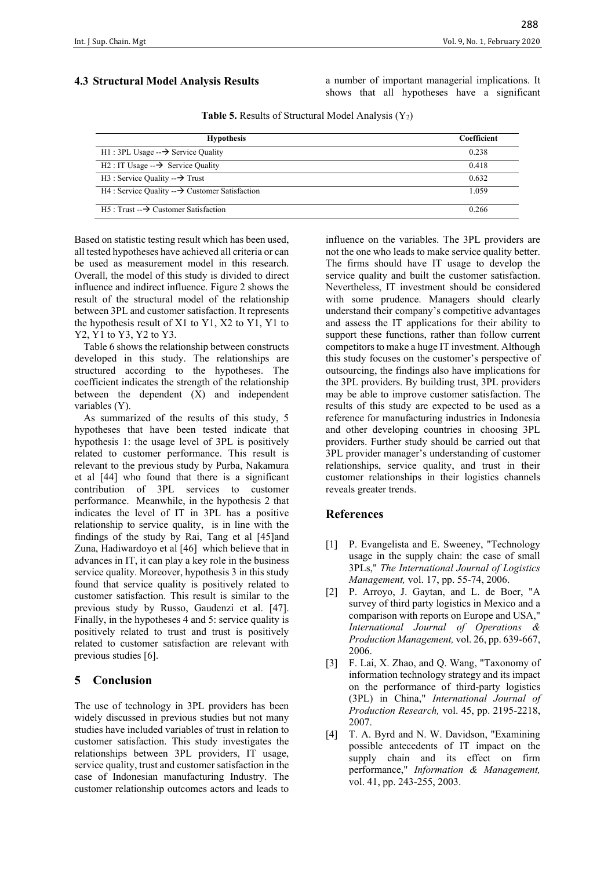#### **4.3 Structural Model Analysis Results**

a number of important managerial implications. It shows that all hypotheses have a significant

| <b>Hypothesis</b>                                             | Coefficient |
|---------------------------------------------------------------|-------------|
| $H1:3PL$ Usage $\rightarrow$ Service Quality                  | 0.238       |
| $H2:IT$ Usage $\rightarrow$ Service Quality                   | 0.418       |
| $H3$ : Service Quality -- $\rightarrow$ Trust                 | 0.632       |
| $H4$ : Service Quality -- $\rightarrow$ Customer Satisfaction | 1.059       |
| $H5: Trust \rightarrow Customer Satis factor$                 | 0.266       |

**Table 5.** Results of Structural Model Analysis (Y<sub>2</sub>)

Based on statistic testing result which has been used, all tested hypotheses have achieved all criteria or can be used as measurement model in this research. Overall, the model of this study is divided to direct influence and indirect influence. Figure 2 shows the result of the structural model of the relationship between 3PL and customer satisfaction. It represents the hypothesis result of X1 to Y1, X2 to Y1, Y1 to Y2, Y1 to Y3, Y2 to Y3.

Table 6 shows the relationship between constructs developed in this study. The relationships are structured according to the hypotheses. The coefficient indicates the strength of the relationship between the dependent (X) and independent variables (Y).

As summarized of the results of this study, 5 hypotheses that have been tested indicate that hypothesis 1: the usage level of 3PL is positively related to customer performance. This result is relevant to the previous study by Purba, Nakamura et al [44] who found that there is a significant contribution of 3PL services to customer performance. Meanwhile, in the hypothesis 2 that indicates the level of IT in 3PL has a positive relationship to service quality, is in line with the findings of the study by Rai, Tang et al [45]and Zuna, Hadiwardoyo et al [46] which believe that in advances in IT, it can play a key role in the business service quality. Moreover, hypothesis 3 in this study found that service quality is positively related to customer satisfaction. This result is similar to the previous study by Russo, Gaudenzi et al. [47]. Finally, in the hypotheses 4 and 5: service quality is positively related to trust and trust is positively related to customer satisfaction are relevant with previous studies [6].

#### **5 Conclusion**

The use of technology in 3PL providers has been widely discussed in previous studies but not many studies have included variables of trust in relation to customer satisfaction. This study investigates the relationships between 3PL providers, IT usage, service quality, trust and customer satisfaction in the case of Indonesian manufacturing Industry. The customer relationship outcomes actors and leads to

influence on the variables. The 3PL providers are not the one who leads to make service quality better. The firms should have IT usage to develop the service quality and built the customer satisfaction. Nevertheless, IT investment should be considered with some prudence. Managers should clearly understand their company's competitive advantages and assess the IT applications for their ability to support these functions, rather than follow current competitors to make a huge IT investment. Although this study focuses on the customer's perspective of outsourcing, the findings also have implications for the 3PL providers. By building trust, 3PL providers may be able to improve customer satisfaction. The results of this study are expected to be used as a reference for manufacturing industries in Indonesia and other developing countries in choosing 3PL providers. Further study should be carried out that 3PL provider manager's understanding of customer relationships, service quality, and trust in their customer relationships in their logistics channels reveals greater trends.

#### **References**

- [1] P. Evangelista and E. Sweeney, "Technology usage in the supply chain: the case of small 3PLs," *The International Journal of Logistics Management,* vol. 17, pp. 55-74, 2006.
- [2] P. Arroyo, J. Gaytan, and L. de Boer, "A survey of third party logistics in Mexico and a comparison with reports on Europe and USA," *International Journal of Operations & Production Management,* vol. 26, pp. 639-667, 2006.
- [3] F. Lai, X. Zhao, and O. Wang, "Taxonomy of information technology strategy and its impact on the performance of third-party logistics (3PL) in China," *International Journal of Production Research,* vol. 45, pp. 2195-2218, 2007.
- [4] T. A. Byrd and N. W. Davidson, "Examining possible antecedents of IT impact on the supply chain and its effect on firm performance," *Information & Management,*  vol. 41, pp. 243-255, 2003.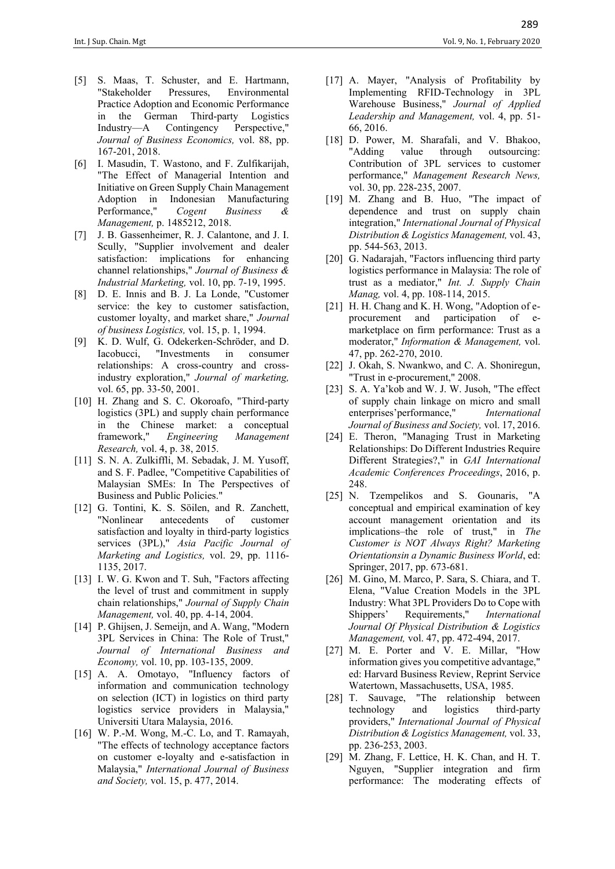- [5] S. Maas, T. Schuster, and E. Hartmann, "Stakeholder Pressures, Environmental Practice Adoption and Economic Performance in the German Third-party Logistics Industry—A Contingency Perspective," *Journal of Business Economics,* vol. 88, pp. 167-201, 2018.
- [6] I. Masudin, T. Wastono, and F. Zulfikarijah, "The Effect of Managerial Intention and Initiative on Green Supply Chain Management Adoption in Indonesian Manufacturing Performance," *Cogent Business & Management,* p. 1485212, 2018.
- [7] J. B. Gassenheimer, R. J. Calantone, and J. I. Scully, "Supplier involvement and dealer satisfaction: implications for enhancing channel relationships," *Journal of Business & Industrial Marketing,* vol. 10, pp. 7-19, 1995.
- [8] D. E. Innis and B. J. La Londe, "Customer service: the key to customer satisfaction, customer loyalty, and market share," *Journal of business Logistics,* vol. 15, p. 1, 1994.
- [9] K. D. Wulf, G. Odekerken-Schröder, and D. Iacobucci, "Investments in consumer relationships: A cross-country and crossindustry exploration," *Journal of marketing,*  vol. 65, pp. 33-50, 2001.
- [10] H. Zhang and S. C. Okoroafo, "Third-party logistics (3PL) and supply chain performance in the Chinese market: a conceptual framework," *Engineering Management Research,* vol. 4, p. 38, 2015.
- [11] S. N. A. Zulkiffli, M. Sebadak, J. M. Yusoff, and S. F. Padlee, "Competitive Capabilities of Malaysian SMEs: In The Perspectives of Business and Public Policies."
- [12] G. Tontini, K. S. Söilen, and R. Zanchett, "Nonlinear antecedents of customer satisfaction and loyalty in third-party logistics services (3PL)," *Asia Pacific Journal of Marketing and Logistics,* vol. 29, pp. 1116- 1135, 2017.
- [13] I. W. G. Kwon and T. Suh, "Factors affecting the level of trust and commitment in supply chain relationships," *Journal of Supply Chain Management,* vol. 40, pp. 4-14, 2004.
- [14] P. Ghijsen, J. Semeijn, and A. Wang, "Modern 3PL Services in China: The Role of Trust," *Journal of International Business and Economy,* vol. 10, pp. 103-135, 2009.
- [15] A. A. Omotayo, "Influency factors of information and communication technology on selection (ICT) in logistics on third party logistics service providers in Malaysia," Universiti Utara Malaysia, 2016.
- [16] W. P.-M. Wong, M.-C. Lo, and T. Ramayah, "The effects of technology acceptance factors on customer e-loyalty and e-satisfaction in Malaysia," *International Journal of Business and Society,* vol. 15, p. 477, 2014.
- [17] A. Mayer, "Analysis of Profitability by Implementing RFID-Technology in 3PL Warehouse Business," *Journal of Applied Leadership and Management,* vol. 4, pp. 51- 66, 2016.
- [18] D. Power, M. Sharafali, and V. Bhakoo, "Adding value through outsourcing: Contribution of 3PL services to customer performance," *Management Research News,*  vol. 30, pp. 228-235, 2007.
- [19] M. Zhang and B. Huo, "The impact of dependence and trust on supply chain integration," *International Journal of Physical Distribution & Logistics Management,* vol. 43, pp. 544-563, 2013.
- [20] G. Nadarajah, "Factors influencing third party logistics performance in Malaysia: The role of trust as a mediator," *Int. J. Supply Chain Manag,* vol. 4, pp. 108-114, 2015.
- [21] H. H. Chang and K. H. Wong, "Adoption of eprocurement and participation of emarketplace on firm performance: Trust as a moderator," *Information & Management,* vol. 47, pp. 262-270, 2010.
- [22] J. Okah, S. Nwankwo, and C. A. Shoniregun, "Trust in e-procurement," 2008.
- [23] S. A. Ya'kob and W. J. W. Jusoh, "The effect of supply chain linkage on micro and small enterprises'performance," *International Journal of Business and Society,* vol. 17, 2016.
- [24] E. Theron, "Managing Trust in Marketing Relationships: Do Different Industries Require Different Strategies?," in *GAI International Academic Conferences Proceedings*, 2016, p. 248.
- [25] N. Tzempelikos and S. Gounaris, "A conceptual and empirical examination of key account management orientation and its implications–the role of trust," in *The Customer is NOT Always Right? Marketing Orientationsin a Dynamic Business World*, ed: Springer, 2017, pp. 673-681.
- [26] M. Gino, M. Marco, P. Sara, S. Chiara, and T. Elena, "Value Creation Models in the 3PL Industry: What 3PL Providers Do to Cope with Shippers' Requirements," *International Journal Of Physical Distribution & Logistics Management,* vol. 47, pp. 472-494, 2017.
- [27] M. E. Porter and V. E. Millar, "How information gives you competitive advantage," ed: Harvard Business Review, Reprint Service Watertown, Massachusetts, USA, 1985.
- [28] T. Sauvage, "The relationship between technology and logistics third-party providers," *International Journal of Physical Distribution & Logistics Management,* vol. 33, pp. 236-253, 2003.
- [29] M. Zhang, F. Lettice, H. K. Chan, and H. T. Nguyen, "Supplier integration and firm performance: The moderating effects of